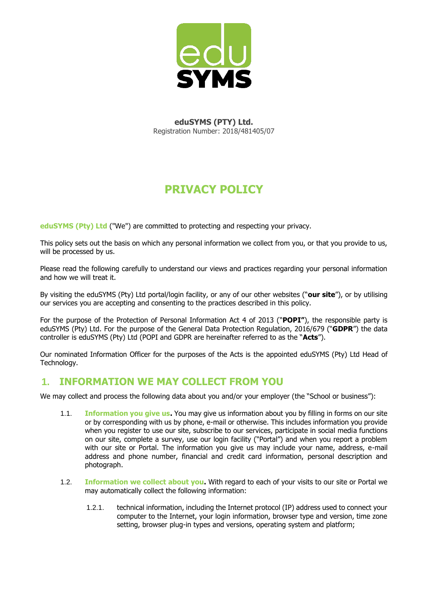

**eduSYMS (PTY) Ltd.**  Registration Number: 2018/481405/07

# **PRIVACY POLICY**

**eduSYMS (Pty) Ltd** ("We") are committed to protecting and respecting your privacy.

This policy sets out the basis on which any personal information we collect from you, or that you provide to us, will be processed by us.

Please read the following carefully to understand our views and practices regarding your personal information and how we will treat it.

By visiting the eduSYMS (Pty) Ltd portal/login facility, or any of our other websites ("**our site**"), or by utilising our services you are accepting and consenting to the practices described in this policy.

For the purpose of the Protection of Personal Information Act 4 of 2013 ("**POPI"**), the responsible party is eduSYMS (Pty) Ltd. For the purpose of the General Data Protection Regulation, 2016/679 ("**GDPR**") the data controller is eduSYMS (Pty) Ltd (POPI and GDPR are hereinafter referred to as the "**Acts**").

Our nominated Information Officer for the purposes of the Acts is the appointed eduSYMS (Pty) Ltd Head of Technology.

#### **1. INFORMATION WE MAY COLLECT FROM YOU**

We may collect and process the following data about you and/or your employer (the "School or business"):

- 1.1. **Information you give us.** You may give us information about you by filling in forms on our site or by corresponding with us by phone, e-mail or otherwise. This includes information you provide when you register to use our site, subscribe to our services, participate in social media functions on our site, complete a survey, use our login facility ("Portal") and when you report a problem with our site or Portal. The information you give us may include your name, address, e-mail address and phone number, financial and credit card information, personal description and photograph.
- 1.2. **Information we collect about you.** With regard to each of your visits to our site or Portal we may automatically collect the following information:
	- 1.2.1. technical information, including the Internet protocol (IP) address used to connect your computer to the Internet, your login information, browser type and version, time zone setting, browser plug-in types and versions, operating system and platform;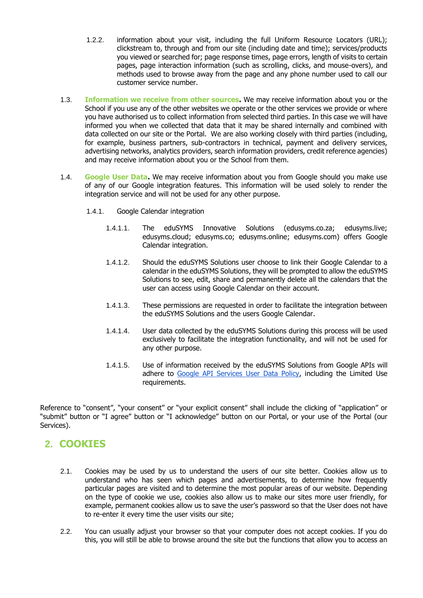- 1.2.2. information about your visit, including the full Uniform Resource Locators (URL); clickstream to, through and from our site (including date and time); services/products you viewed or searched for; page response times, page errors, length of visits to certain pages, page interaction information (such as scrolling, clicks, and mouse-overs), and methods used to browse away from the page and any phone number used to call our customer service number.
- 1.3. **Information we receive from other sources.** We may receive information about you or the School if you use any of the other websites we operate or the other services we provide or where you have authorised us to collect information from selected third parties. In this case we will have informed you when we collected that data that it may be shared internally and combined with data collected on our site or the Portal. We are also working closely with third parties (including, for example, business partners, sub-contractors in technical, payment and delivery services, advertising networks, analytics providers, search information providers, credit reference agencies) and may receive information about you or the School from them.
- 1.4. **Google User Data.** We may receive information about you from Google should you make use of any of our Google integration features. This information will be used solely to render the integration service and will not be used for any other purpose.
	- 1.4.1. Google Calendar integration
		- 1.4.1.1. The eduSYMS Innovative Solutions (edusyms.co.za; edusyms.live; edusyms.cloud; edusyms.co; edusyms.online; edusyms.com) offers Google Calendar integration.
		- 1.4.1.2. Should the eduSYMS Solutions user choose to link their Google Calendar to a calendar in the eduSYMS Solutions, they will be prompted to allow the eduSYMS Solutions to see, edit, share and permanently delete all the calendars that the user can access using Google Calendar on their account.
		- 1.4.1.3. These permissions are requested in order to facilitate the integration between the eduSYMS Solutions and the users Google Calendar.
		- 1.4.1.4. User data collected by the eduSYMS Solutions during this process will be used exclusively to facilitate the integration functionality, and will not be used for any other purpose.
		- 1.4.1.5. Use of information received by the eduSYMS Solutions from Google APIs will adhere to [Google API Services User Data Policy,](https://developers.google.com/terms/api-services-user-data-policy) including the Limited Use requirements.

Reference to "consent", "your consent" or "your explicit consent" shall include the clicking of "application" or "submit" button or "I agree" button or "I acknowledge" button on our Portal, or your use of the Portal (our Services).

# **2. COOKIES**

- 2.1. Cookies may be used by us to understand the users of our site better. Cookies allow us to understand who has seen which pages and advertisements, to determine how frequently particular pages are visited and to determine the most popular areas of our website. Depending on the type of cookie we use, cookies also allow us to make our sites more user friendly, for example, permanent cookies allow us to save the user's password so that the User does not have to re-enter it every time the user visits our site;
- 2.2. You can usually adjust your browser so that your computer does not accept cookies. If you do this, you will still be able to browse around the site but the functions that allow you to access an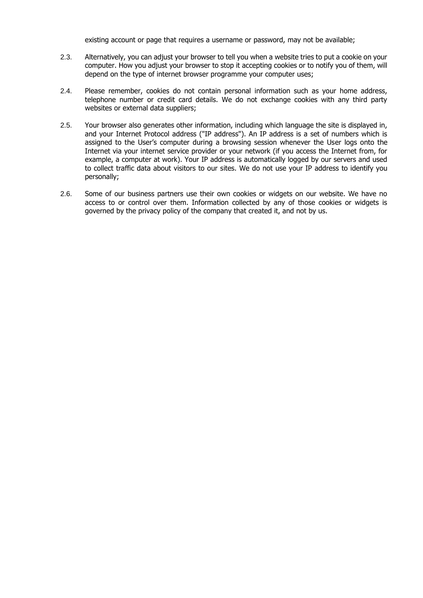existing account or page that requires a username or password, may not be available;

- 2.3. Alternatively, you can adjust your browser to tell you when a website tries to put a cookie on your computer. How you adjust your browser to stop it accepting cookies or to notify you of them, will depend on the type of internet browser programme your computer uses;
- 2.4. Please remember, cookies do not contain personal information such as your home address, telephone number or credit card details. We do not exchange cookies with any third party websites or external data suppliers;
- 2.5. Your browser also generates other information, including which language the site is displayed in, and your Internet Protocol address ("IP address"). An IP address is a set of numbers which is assigned to the User's computer during a browsing session whenever the User logs onto the Internet via your internet service provider or your network (if you access the Internet from, for example, a computer at work). Your IP address is automatically logged by our servers and used to collect traffic data about visitors to our sites. We do not use your IP address to identify you personally;
- 2.6. Some of our business partners use their own cookies or widgets on our website. We have no access to or control over them. Information collected by any of those cookies or widgets is governed by the privacy policy of the company that created it, and not by us.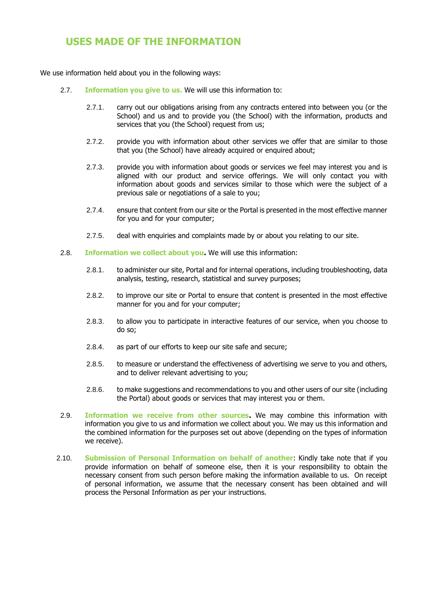# **USES MADE OF THE INFORMATION**

We use information held about you in the following ways:

- 2.7. **Information you give to us.** We will use this information to:
	- 2.7.1. carry out our obligations arising from any contracts entered into between you (or the School) and us and to provide you (the School) with the information, products and services that you (the School) request from us;
	- 2.7.2. provide you with information about other services we offer that are similar to those that you (the School) have already acquired or enquired about;
	- 2.7.3. provide you with information about goods or services we feel may interest you and is aligned with our product and service offerings. We will only contact you with information about goods and services similar to those which were the subject of a previous sale or negotiations of a sale to you;
	- 2.7.4. ensure that content from our site or the Portal is presented in the most effective manner for you and for your computer;
	- 2.7.5. deal with enquiries and complaints made by or about you relating to our site.
- 2.8. **Information we collect about you.** We will use this information:
	- 2.8.1. to administer our site, Portal and for internal operations, including troubleshooting, data analysis, testing, research, statistical and survey purposes;
	- 2.8.2. to improve our site or Portal to ensure that content is presented in the most effective manner for you and for your computer;
	- 2.8.3. to allow you to participate in interactive features of our service, when you choose to do so;
	- 2.8.4. as part of our efforts to keep our site safe and secure;
	- 2.8.5. to measure or understand the effectiveness of advertising we serve to you and others, and to deliver relevant advertising to you;
	- 2.8.6. to make suggestions and recommendations to you and other users of our site (including the Portal) about goods or services that may interest you or them.
- 2.9. **Information we receive from other sources.** We may combine this information with information you give to us and information we collect about you. We may us this information and the combined information for the purposes set out above (depending on the types of information we receive).
- 2.10. **Submission of Personal Information on behalf of another**: Kindly take note that if you provide information on behalf of someone else, then it is your responsibility to obtain the necessary consent from such person before making the information available to us. On receipt of personal information, we assume that the necessary consent has been obtained and will process the Personal Information as per your instructions.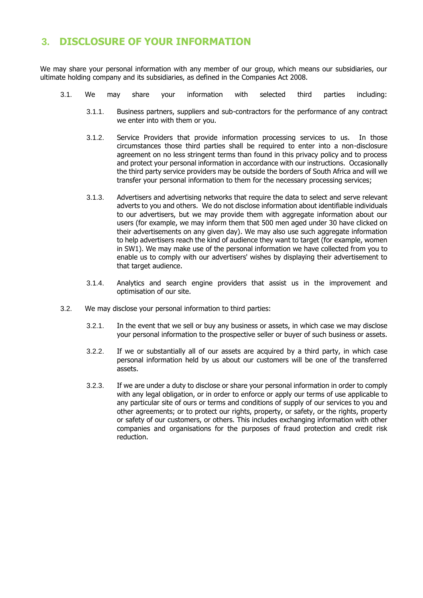# **3. DISCLOSURE OF YOUR INFORMATION**

We may share your personal information with any member of our group, which means our subsidiaries, our ultimate holding company and its subsidiaries, as defined in the Companies Act 2008.

- 3.1. We may share your information with selected third parties including:
	- 3.1.1. Business partners, suppliers and sub-contractors for the performance of any contract we enter into with them or you.
	- 3.1.2. Service Providers that provide information processing services to us. In those circumstances those third parties shall be required to enter into a non-disclosure agreement on no less stringent terms than found in this privacy policy and to process and protect your personal information in accordance with our instructions. Occasionally the third party service providers may be outside the borders of South Africa and will we transfer your personal information to them for the necessary processing services;
	- 3.1.3. Advertisers and advertising networks that require the data to select and serve relevant adverts to you and others. We do not disclose information about identifiable individuals to our advertisers, but we may provide them with aggregate information about our users (for example, we may inform them that 500 men aged under 30 have clicked on their advertisements on any given day). We may also use such aggregate information to help advertisers reach the kind of audience they want to target (for example, women in SW1). We may make use of the personal information we have collected from you to enable us to comply with our advertisers' wishes by displaying their advertisement to that target audience.
	- 3.1.4. Analytics and search engine providers that assist us in the improvement and optimisation of our site.
- 3.2. We may disclose your personal information to third parties:
	- 3.2.1. In the event that we sell or buy any business or assets, in which case we may disclose your personal information to the prospective seller or buyer of such business or assets.
	- 3.2.2. If we or substantially all of our assets are acquired by a third party, in which case personal information held by us about our customers will be one of the transferred assets.
	- 3.2.3. If we are under a duty to disclose or share your personal information in order to comply with any legal obligation, or in order to enforce or apply our terms of use applicable to any particular site of ours or terms and conditions of supply of our services to you and other agreements; or to protect our rights, property, or safety, or the rights, property or safety of our customers, or others. This includes exchanging information with other companies and organisations for the purposes of fraud protection and credit risk reduction.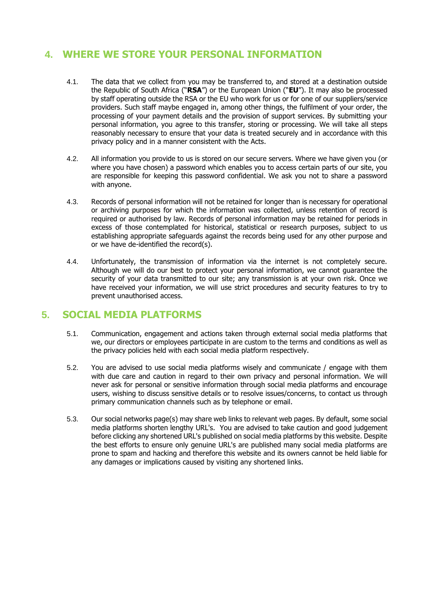# **4. WHERE WE STORE YOUR PERSONAL INFORMATION**

- 4.1. The data that we collect from you may be transferred to, and stored at a destination outside the Republic of South Africa ("**RSA**") or the European Union ("**EU**"). It may also be processed by staff operating outside the RSA or the EU who work for us or for one of our suppliers/service providers. Such staff maybe engaged in, among other things, the fulfilment of your order, the processing of your payment details and the provision of support services. By submitting your personal information, you agree to this transfer, storing or processing. We will take all steps reasonably necessary to ensure that your data is treated securely and in accordance with this privacy policy and in a manner consistent with the Acts.
- 4.2. All information you provide to us is stored on our secure servers. Where we have given you (or where you have chosen) a password which enables you to access certain parts of our site, you are responsible for keeping this password confidential. We ask you not to share a password with anyone.
- 4.3. Records of personal information will not be retained for longer than is necessary for operational or archiving purposes for which the information was collected, unless retention of record is required or authorised by law. Records of personal information may be retained for periods in excess of those contemplated for historical, statistical or research purposes, subject to us establishing appropriate safeguards against the records being used for any other purpose and or we have de-identified the record(s).
- 4.4. Unfortunately, the transmission of information via the internet is not completely secure. Although we will do our best to protect your personal information, we cannot guarantee the security of your data transmitted to our site; any transmission is at your own risk. Once we have received your information, we will use strict procedures and security features to try to prevent unauthorised access.

#### **5. SOCIAL MEDIA PLATFORMS**

- 5.1. Communication, engagement and actions taken through external social media platforms that we, our directors or employees participate in are custom to the terms and conditions as well as the privacy policies held with each social media platform respectively.
- 5.2. You are advised to use social media platforms wisely and communicate / engage with them with due care and caution in regard to their own privacy and personal information. We will never ask for personal or sensitive information through social media platforms and encourage users, wishing to discuss sensitive details or to resolve issues/concerns, to contact us through primary communication channels such as by telephone or email.
- 5.3. Our social networks page(s) may share web links to relevant web pages. By default, some social media platforms shorten lengthy URL's. You are advised to take caution and good judgement before clicking any shortened URL's published on social media platforms by this website. Despite the best efforts to ensure only genuine URL's are published many social media platforms are prone to spam and hacking and therefore this website and its owners cannot be held liable for any damages or implications caused by visiting any shortened links.